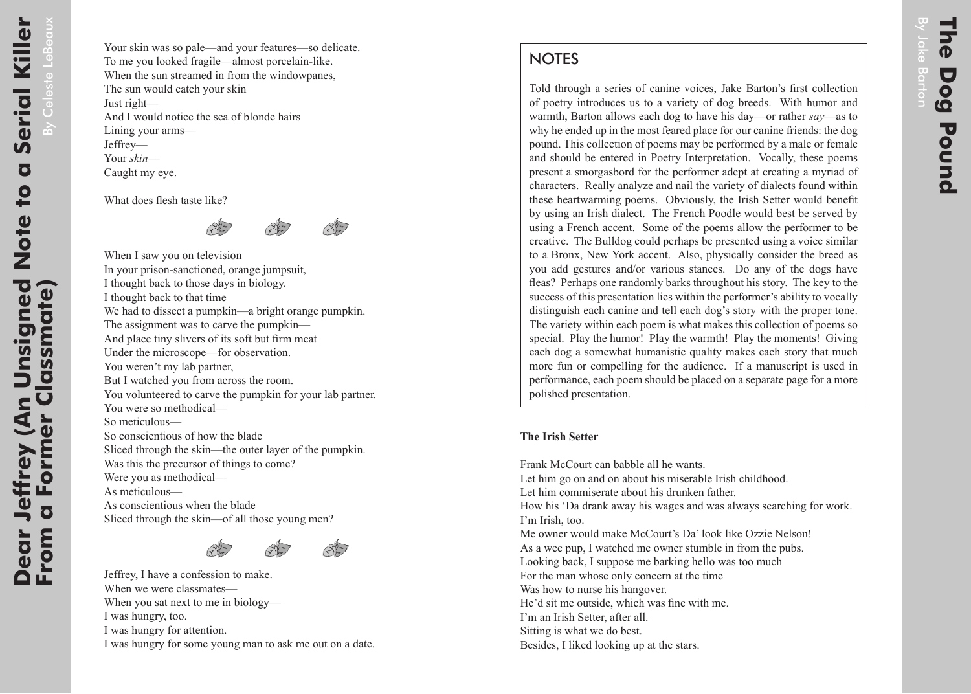## **NOTES**

Told through a series of canine voices, Jake Barton's first collection of poetry introduces us to a variety of dog breeds. With humor and warmth, Barton allows each dog to have his day—or rather *say*—as to why he ended up in the most feared place for our canine friends: the dog pound. This collection of poems may be performed by a male or female and should be entered in Poetry Interpretation. Vocally, these poems present a smorgasbord for the performer adept at creating a myriad of characters. Really analyze and nail the variety of dialects found within these heartwarming poems. Obviously, the Irish Setter would benefit by using an Irish dialect. The French Poodle would best be served by using a French accent. Some of the poems allow the performer to be creative. The Bulldog could perhaps be presented using a voice similar to a Bronx, New York accent. Also, physically consider the breed as you add gestures and/or various stances. Do any of the dogs have fleas? Perhaps one randomly barks throughout his story. The key to the success of this presentation lies within the performer's ability to vocally distinguish each canine and tell each dog's story with the proper tone. The variety within each poem is what makes this collection of poems so special. Play the humor! Play the warmth! Play the moments! Giving each dog a somewhat humanistic quality makes each story that much more fun or compelling for the audience. If a manuscript is used in performance, each poem should be placed on a separate page for a more polished presentation.

## **The Irish Setter**

Frank McCourt can babble all he wants. Let him go on and on about his miserable Irish childhood. Let him commiserate about his drunken father. How his 'Da drank away his wages and was always searching for work. I'm Irish, too. Me owner would make McCourt's Da' look like Ozzie Nelson! As a wee pup, I watched me owner stumble in from the pubs. Looking back, I suppose me barking hello was too much For the man whose only concern at the time Was how to nurse his hangover. He'd sit me outside, which was fine with me. I'm an Irish Setter, after all. Sitting is what we do best. Besides, I liked looking up at the stars.